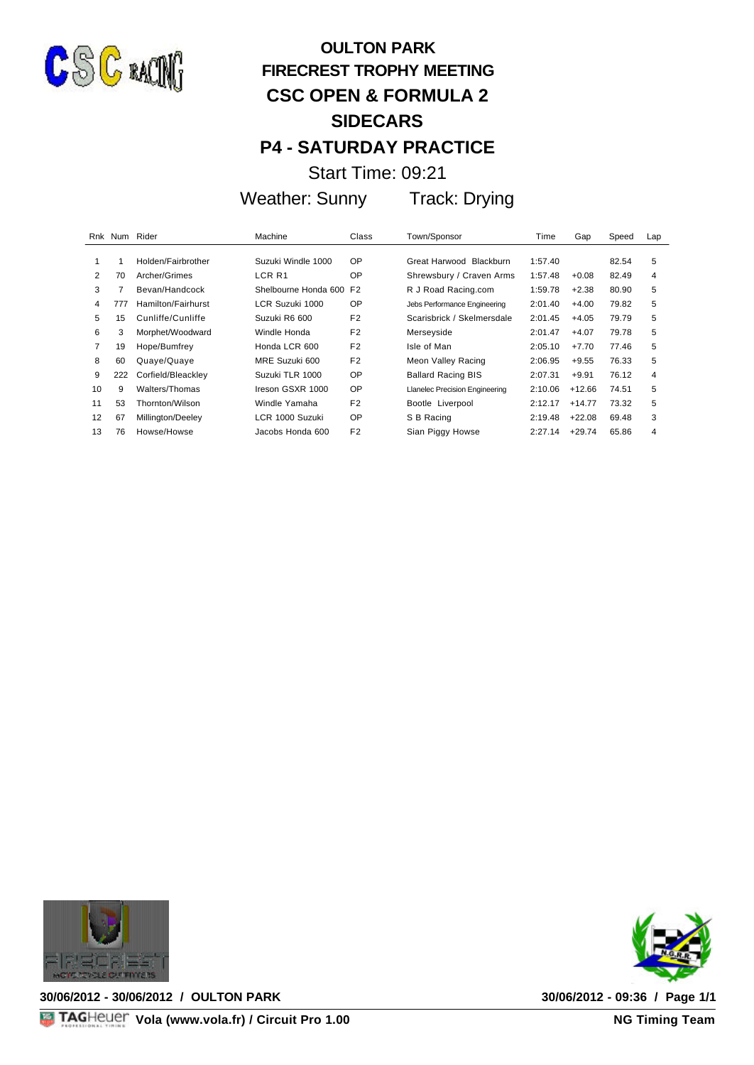

## **OULTON PARK FIRECREST TROPHY MEETING CSC OPEN & FORMULA 2 SIDECARS P4 - SATURDAY PRACTICE**

Start Time: 09:21

Weather: Sunny Track: Drying

|                | Rnk Num Rider |                    | Machine              | Class          | Town/Sponsor                          | Time    | Gap      | Speed | Lap |
|----------------|---------------|--------------------|----------------------|----------------|---------------------------------------|---------|----------|-------|-----|
|                |               |                    |                      |                |                                       |         |          |       |     |
|                |               | Holden/Fairbrother | Suzuki Windle 1000   | <b>OP</b>      | Great Harwood Blackburn               | 1:57.40 |          | 82.54 | 5   |
| $\overline{2}$ | 70            | Archer/Grimes      | LCR <sub>R1</sub>    | <b>OP</b>      | Shrewsbury / Craven Arms              | 1:57.48 | $+0.08$  | 82.49 | 4   |
| 3              | 7             | Bevan/Handcock     | Shelbourne Honda 600 | F <sub>2</sub> | R J Road Racing.com                   | 1:59.78 | $+2.38$  | 80.90 | 5   |
| 4              | 777           | Hamilton/Fairhurst | LCR Suzuki 1000      | <b>OP</b>      | Jebs Performance Engineering          | 2:01.40 | $+4.00$  | 79.82 | 5   |
| 5              | 15            | Cunliffe/Cunliffe  | Suzuki R6 600        | F <sub>2</sub> | Scarisbrick / Skelmersdale            | 2:01.45 | $+4.05$  | 79.79 | 5   |
| 6              | 3             | Morphet/Woodward   | Windle Honda         | F <sub>2</sub> | Merseyside                            | 2:01.47 | $+4.07$  | 79.78 | 5   |
| 7              | 19            | Hope/Bumfrey       | Honda LCR 600        | F <sub>2</sub> | Isle of Man                           | 2:05.10 | $+7.70$  | 77.46 | 5   |
| 8              | 60            | Quaye/Quaye        | MRE Suzuki 600       | F <sub>2</sub> | Meon Valley Racing                    | 2:06.95 | $+9.55$  | 76.33 | 5   |
| 9              | 222           | Corfield/Bleackley | Suzuki TLR 1000      | OP             | <b>Ballard Racing BIS</b>             | 2:07.31 | $+9.91$  | 76.12 | 4   |
| 10             | 9             | Walters/Thomas     | Ireson GSXR 1000     | <b>OP</b>      | <b>Llanelec Precision Engineering</b> | 2:10.06 | $+12.66$ | 74.51 | 5   |
| 11             | 53            | Thornton/Wilson    | Windle Yamaha        | F <sub>2</sub> | Bootle Liverpool                      | 2:12.17 | $+14.77$ | 73.32 | 5   |
| 12             | 67            | Millington/Deeley  | LCR 1000 Suzuki      | <b>OP</b>      | S B Racing                            | 2:19.48 | $+22.08$ | 69.48 | 3   |
| 13             | 76            | Howse/Howse        | Jacobs Honda 600     | F <sub>2</sub> | Sian Piggy Howse                      | 2:27.14 | $+29.74$ | 65.86 | 4   |



**30/06/2012 - 30/06/2012 / OULTON PARK 30/06/2012 - 09:36 / Page 1/1**



**30/06/2012 - 09:36 / Page 1/1<br>NG Timing Team**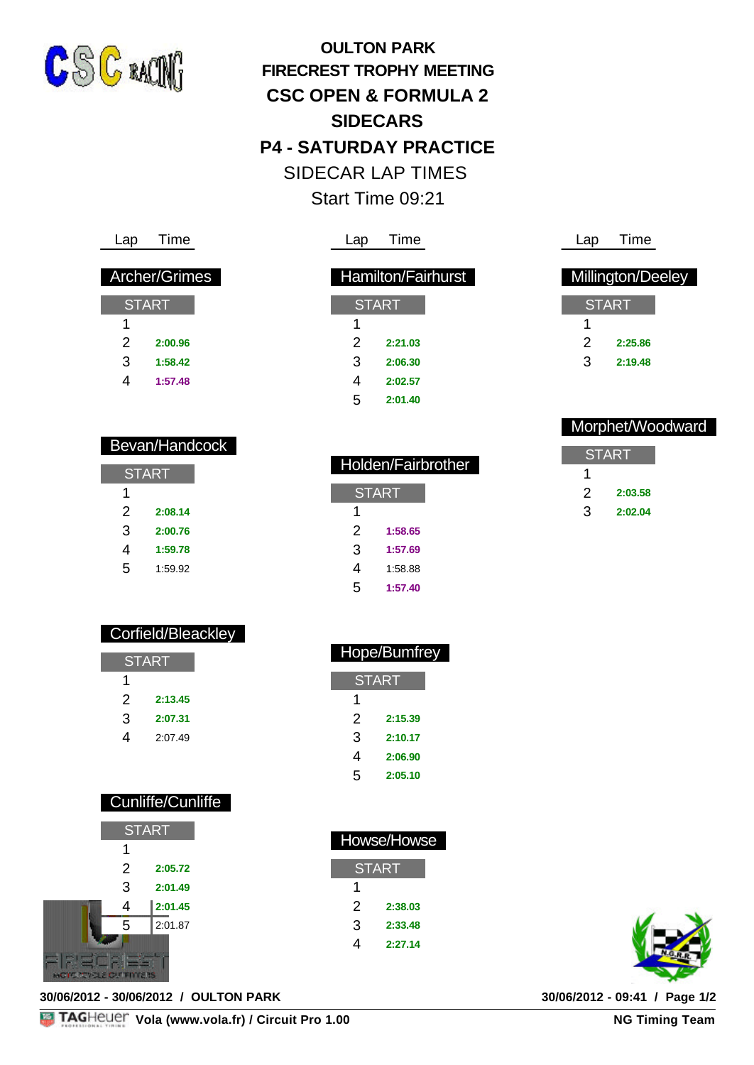

**OULTON PARK FIRECREST TROPHY MEETING CSC OPEN & FORMULA 2 SIDECARS P4 - SATURDAY PRACTICE** SIDECAR LAP TIMES Start Time 09:21

| Lap | Time                 |
|-----|----------------------|
|     |                      |
|     | <b>Archer/Grimes</b> |
|     |                      |
|     | START                |
|     |                      |
|     |                      |

| 2 | 2:00.96 |
|---|---------|
| 3 | 1:58.42 |

Bevan/Handcock

4 **1:57.48**

**START** 

2 **2:08.14** 3 **2:00.76** 4 **1:59.78** 5 1:59.92

1

### Lap Time

|   | <b>Hamilton/Fairhurst</b> |  |  |  |  |
|---|---------------------------|--|--|--|--|
|   |                           |  |  |  |  |
|   | <b>START</b>              |  |  |  |  |
| 1 |                           |  |  |  |  |
| 2 | 2:21.03                   |  |  |  |  |
| 3 | 2:06.30                   |  |  |  |  |
| 4 | 2:02.57                   |  |  |  |  |
| 5 | 2:01.40                   |  |  |  |  |

| Lap | Time              |
|-----|-------------------|
|     |                   |
|     | Millington/Deeley |
|     | <b>START</b>      |
| 1   |                   |
| 2   | 2:25.86           |
| 3   | 2:19.48           |
|     |                   |

#### Morphet/Woodward

| START |         |  |  |
|-------|---------|--|--|
| 1     |         |  |  |
| ン     | 2:03.58 |  |  |
| З     | 2:02.04 |  |  |

| Holden/Fairbrother |         |  |  |  |
|--------------------|---------|--|--|--|
| <b>START</b>       |         |  |  |  |
| 1                  |         |  |  |  |
| 2                  | 1:58.65 |  |  |  |
| 3                  | 1:57.69 |  |  |  |
| 4                  | 1:58.88 |  |  |  |
| ᄃ                  | 1.57 AN |  |  |  |

| 1 |         |  |  |
|---|---------|--|--|
| 2 | 1:58.65 |  |  |
| 3 | 1:57.69 |  |  |
| 4 | 1:58.88 |  |  |
| 5 | 1:57.40 |  |  |
|   |         |  |  |

Hope/Bumfrey

**START** 

| Corfield/Bleackley |  |
|--------------------|--|
|                    |  |

| <b>START</b> |         |  |  |
|--------------|---------|--|--|
| 1            |         |  |  |
| 2            | 2:13.45 |  |  |
| З            | 2:07.31 |  |  |
| 4            | 2:07.49 |  |  |

| 1 |         |
|---|---------|
| 2 | 2:15.39 |
| З | 2:10.17 |
| 4 | 2:06.90 |
| 5 | 2:05.10 |
|   |         |

Howse/Howse

**START** 

2 **2:38.03** 3 **2:33.48** 4 **2:27.14**

1

| <b>Cunliffe/Cunliffe</b> |  |  |
|--------------------------|--|--|
|                          |  |  |

|  | <b>START</b> |         |  |  |
|--|--------------|---------|--|--|
|  | 1            |         |  |  |
|  | 2            | 2:05.72 |  |  |
|  | 3            | 2:01.49 |  |  |
|  | 4            | 2:01.45 |  |  |
|  | 5            | 2:01.87 |  |  |
|  |              |         |  |  |
|  |              |         |  |  |

**30/06/2012 - 30/06/2012 / OULTON PARK 30/06/2012 - 09:41 / Page 1/2**

**NG Timing Team**